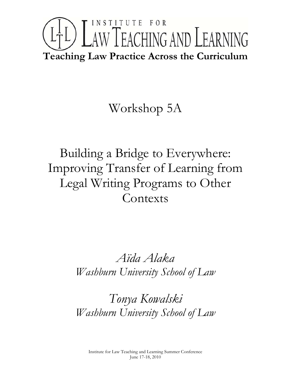# INSTITUTE FOR LTL) LAW TEACHING AND LEARNING **Teaching Law Practice Across the Curriculum**

## Workshop 5A

Building a Bridge to Everywhere: Improving Transfer of Learning from Legal Writing Programs to Other **Contexts** 

> *Aïda Alaka Washburn University School of Law*

> *Tonya Kowalski Washburn University School of Law*

Institute for Law Teaching and Learning Summer Conference June 17-18, 2010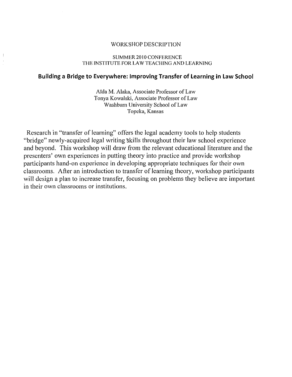#### WORKSHOP DESCRIPTION

#### SUMMER 2010 CONFERENCE THE INSTITUTE FOR LAW TEACHING AND LEARNING

#### **Building a Bridge to Everywhere: Improving Transfer of Learning in Law School**

Aïda M. Alaka, Associate Professor of Law Tonya Kowalski, Associate Professor of Law Washburn University School of Law Topeka, Kansas

Research in "transfer of learning" offers the legal academy tools to help students "bridge" newly-acquired legal writing skills throughout their law school experience and beyond. This workshop will draw from the relevant educational literature and the presenters' own experiences in putting theory into practice and provide workshop participants hand-on experience in developing appropriate techniques for their own classrooms. After an introduction to transfer of learning theory, workshop participants will design a plan to increase transfer, focusing on problems they believe are important in their own classrooms or institutions.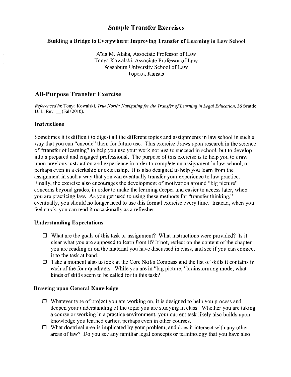#### Building a Bridge to Everywhere: Improving Transfer of Learning in Law School

Aida M. Alaka, Associate Professor of Law Tonya Kowalski, Associate Professor of Law Washburn University School of Law Topeka, Kansas

## All-Purpose Transfer Exercise

*Referenced in:* Tonya Kowalski, *True North: Navigatingfor the Trallsfer ofLeaming in Legal Education,* 36 Seattle U. L. Rev. \_\_ (Fall 2010).

#### Instructions

Sometimes it is difficult to digest all the different topics and assignments in law school in such a way that you can "encode" them for future use. This exercise draws upon research in the science of "transfer of learning" to help you use your work not just to succeed in school, but to develop into a prepared and engaged professional. The purpose of this exercise is to help you to draw upon previous instruction and experience in order to complete an assignment in law school, or perhaps even in a clerkship or externship. It is also designed to help you learn from the assignment in such a way that you can eventually transfer your experience to law practice. Finally, the exercise also encourages the development of motivation around "big picture" concerns beyond grades, in order to make the learning deeper and easier to access later, when you are practicing law. As you get used to using these methods for "transfer thinking," eventually, you should no longer need to use this formal exercise every time. Instead, when you feel stuck, you can read it occasionally as a refresher.

#### Understanding Expectations

- $\Box$  What are the goals of this task or assignment? What instructions were provided? Is it clear what you are supposed to learn from it? If not, reflect on the content of the chapter you are reading or on the material you have discussed in class, and see if you can connect it to the task at hand.
- $\Box$  Take a moment also to look at the Core Skills Compass and the list of skills it contains in each of the four quadrants. While you are in "big picture," brainstorming mode, what kinds of skills seem to be called for in this task?

#### Drawiug upon General Knowledge

- $\Box$  Whatever type of project you are working on, it is designed to help you process and deepen your understanding of the topic you are studying in class. Whether you are taking a course or working in a practice environment, your current task likely also builds upon knowledge you learned earlier, perhaps even in other courses.
- $\Box$  What doctrinal area is implicated by your problem, and does it intersect with any other areas of law? Do you see any familiar legal concepts or terminology that you have also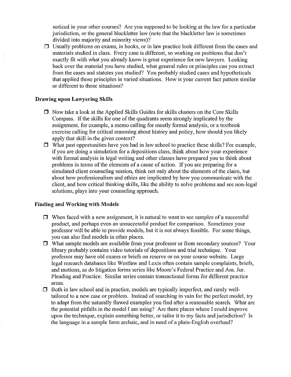noticed in your other courses? Are you supposed to be looking at the law for a particular jurisdiction, or the general blackletter law (note that the blackletter law is sometimes divided into majority and minority views)?

 $\Box$  Usually problems on exams, in books, or in law practice look different from the cases and materials studied in class. Every case is different, so working on problems that don't exactly fit with what you already know is great experience for new lawyers. Looking back over the material you have studied, what general rules or principles can you extract from the cases and statutes you studied? You probably studied cases and hypotheticals that applied those principles in varied situations. How is your current fact pattern similar or different to those situations?

#### Drawing upon Lawyering Skills

- $\Box$  Now take a look at the Applied Skills Guides for skills clusters on the Core Skills Compass. If the skills for one of the quadrants seem strongly implicated by the assignment, for example, a memo calling for mostly formal analysis, or a textbook exercise calling for critical reasoning about history and policy, how should you likely apply that skill in the given context?
- $\Box$  What past opportunities have you had in law school to practice these skills? For example, if you are doing a simulation for a depositions class, think about how your experience with formal analysis in legal writing and other classes have prepared you to think about problems in terms of the elements of a cause of action. If you are preparing for a simulated client counseling session, think not only about the elements of the claim, but about how professionalism and ethics are implicated by how you communicate with the client, and how critical thinking skills, like the ability to solve problems and see non-legal solutions, plays into your counseling approach.

#### Finding and Working with Models

- $\Box$  When faced with a new assignment, it is natural to want to see samples of a successful product, and perhaps even an unsuccessful product for comparison. Sometimes your professor will be able to provide models, but it is not always feasible. For some things, you can also find models in other places.
- $\Box$  What sample models are available from your professor or from secondary sources? Your library probably contains video tutorials of depositions and trial technique. Your professor may have old exams or briefs on reserve or on your course website. Large legal research databases like Westlaw and Lexis often contain sample complaints, briefs, and motions, as do litigation forms series like Moore's Federal Practice and Am. Jur. Pleading and Practice. Similar series contain transactional forms for different practice areas.
- $\Box$  Both in law school and in practice, models are typically imperfect, and rarely welltailored to a new case or problem. Instead of searching in vain for the perfect model, try to adapt from the naturally flawed examples you find after a reasonable search. What are the potential pitfalls in the model I am using? Are there places where I could improve upon the technique, explain something better, or tailor it to my facts and jurisdiction? Is the language in a sample form archaic, and in need of a plain-English overhaul?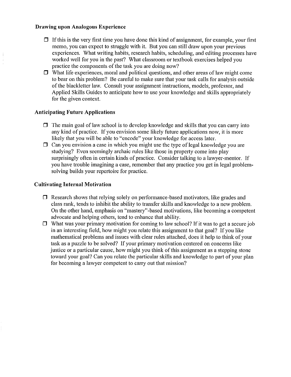#### Drawing upon Analogous Experience

- $\Box$  If this is the very first time you have done this kind of assignment, for example, your first memo, you can expect to struggle with it. But you can still draw upon your previous experiences. What writing habits, research habits, scheduling, and editing processes have worked well for you in the past? What classroom or textbook exercises helped you practice the components of the task you are doing now?
- $\Box$  What life experiences, moral and political questions, and other areas of law might come to bear on this problem? Be careful to make sure that your task calls for analysis outside of the blackletter law. Consult your assignment instructions, models, professor, and Applied Skills Guides to anticipate how to use your knowledge and skills appropriately for the given context.

#### Anticipating Future Applications

- $\Box$  The main goal of law school is to develop knowledge and skills that you can carry into any kind of practice. If you envision some likely future applications now, it is more likely that you will be able to "encode" your knowledge for access later.
- $\Box$  Can you envision a case in which you might use the type of legal knowledge you are studying? Even seemingly archaic rules like those in property come into play surprisingly often in certain kinds of practice. Consider talking to a lawyer-mentor. If you have trouble imagining a case, remember that any practice you get in legal problemsolving builds your repertoire for practice.

#### Cultivating Internal Motivation

- $\Box$  Research shows that relying solely on performance-based motivators, like grades and class rank, tends to inhibit the ability to transfer skills and knowledge to a new problem. On the other hand, emphasis on "mastery"-based motivations, like becoming a competent advocate and helping others, tend to enhance that ability.
- $\Box$  What was your primary motivation for coming to law school? If it was to get a secure job in an interesting field, how might you relate this assignment to that goal? If you like mathematical problems and issues with clear rules attached, does it help to think of your task as a puzzle to be solved? If your primary motivation centered on concerns like justice or a particular cause, how might you think of this assignment as a stepping stone toward your goal? Can you relate the particular skills and knowledge to part of your plan for becoming a lawyer competent to carry out that mission?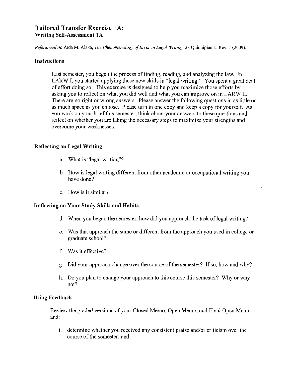## Tailored Transfer Exercise lA: Writing Self-Assessment IA

*Referenced in:* Aida M. Alaka, *The Phenomenology ofError in Legal Writing,* 28 Quinnipiac L. Rev. I (2009).

#### Instructions

Last semester, you began the process of finding, reading, and analyzing the law. In LARW I, you started applying these new skills in "legal writing." You spent a great deal of effort doing so. This exercise is designed to help you maximize those efforts by asking you to reflect on what you did well and what you can improve on in LARW II. There are no right or wrong answers. Please answer the following questions in as little or as much space as you choose. Please turn in one copy and keep a copy for yourself. As you work on your brief this semester, think about your answers to these questions and reflect on whether you are taking the necessary steps to maximize your strengths and overcome your weaknesses.

#### Reflecting on Legal Writing

- a. What is "legal writing"?
- b. How is legal writing different from other academic or occupational writing you have done?
- c. How is it similar?

#### Reflecting on Your Study Skills and Habits

- d. When you began the semester, how did you approach the task of legal writing?
- e. Was that approach the same or different from the approach you used in college or graduate school?
- f. Was it effective?
- g. Did your approach change over the course of the semester? If so, how and why?
- h. Do you plan to change your approach to this course this semester? Why or why not?

#### Using Feedback

Review the graded versions of your Closed Memo, Open Memo, and Final Open Memo and:

i. determine whether you received any consistent praise and/or criticism over the course of the semester; and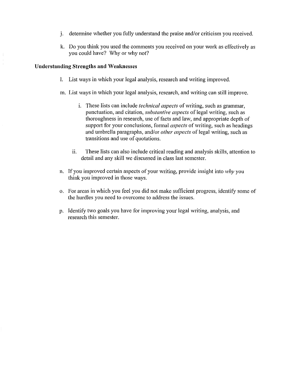- j. determine whether you fully understand the praise and/or criticism you received.
- k. Do you think you used the comments you reeeived on your work as effectively as you could have? Why or why not?

#### **Understanding Strengths and Weakncsscs**

- I. List ways in which your legal analysis, research and writing improved.
- m. List ways in which your legal analysis, research, and writing can still improve.
	- i. These lists can include *technical aspects* of writing, such as grammar, punctuation, and citation, *substantive aspects* of legal writing, such as thoroughness in research, use of facts and law, and appropriate depth of support for your conclusions, formal *aspects* of writing, such as headings and umbrella paragraphs, and/or *other aspects* of legal writing, such as transitions and use of quotations.
	- 11. These lists can also include critical reading and analysis skills, attention to detail and any skill we discussed in class last semester.
- n. If you improved certain aspects of your writing, provide insight into *why* you think you improved in those ways.
- o. For areas in which you feel you did not make sufficient progress, identify some of the hurdles you need to overcome to address the issues.
- p. Identify two goals you have for improving your legal writing, analysis, and research this semester.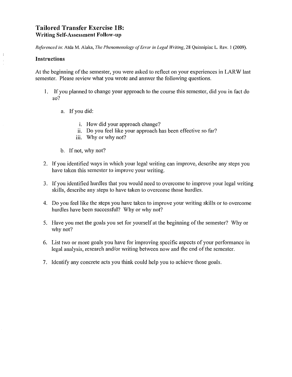## **Tailored Transfer** Exercise **IB:** Writing Self-Assessment Follow-up

*Referenced in:* Mda M. Alaka, *111e Phenomenology ofError in Legal Writing.* 28 Quinnipiac L. Rev. I (2009).

#### Instructions

At the beginning of the semester, you were asked to reflect on your experiences in LARW last semester. Please review what you wrote and answer the following questions.

- I. If you planned to change your approach to the course this semester, did you in fact do so?
	- a. If you did:
		- i. How did your approach change?
		- ii. Do you feel like your approach has been effective so far?
		- iii. Why or why not?
	- b. If not, why not?
- 2. If you identified ways in which your legal writing can improve, describe any steps you have taken this semester to improve your writing.
- 3. If you identified hurdles that you would need to overcome to improve your legal writing skills, describe any steps to have taken to overcome those hurdles.
- 4. Do you feel like the steps you have taken to improve your writing skills or to overcome hurdles have been successful? Why or why not?
- 5. Have you met the goals you set for yourself at the beginning of the semester? Why or why not?
- 6. List two or more goals you have for improving specific aspects of your performance in legal analysis, research and/or writing between now and the end of the semester.
- 7. Identify any concrete acts you think could help you to achieve those goals.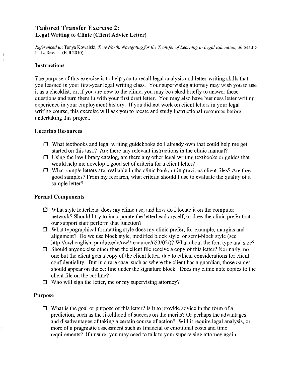## Tailored Transfer Exercise 2: Legal Writing to Clinic (Client Advice Letter)

*Referenced in:* Tonya Kowalski, *Trlle North: Navigatingfor the 1)'ansfer ofLearning in Legal Edllcalion,* 36 *Scali*Ie U. L. Rev. \_ (Fall 2010).

#### Instructions

The purpose of this exercise is to help you to recall legal analysis and letter-writing skills that you learned in your first-year legal writing class. Your supervising attorney may wish you to use it as a checklist, or, if you are new to the clinic, you may be asked briefly to answer these questions and turn them in with your first draft letter. You may also have business letter writing experience in your employment history. If you did not work on client letters in your legal writing course, this exercise will ask you to locate and study instructional resources before undertaking this project.

#### **Locating Resources**

- $\Box$  What textbooks and legal writing guidebooks do I already own that could help me get started on this task? Are there any relevant instructions in the clinic manual?
- $\Box$  Using the law library catalog, are there any other legal writing textbooks or guides that would help me develop a good set of criteria for a client letter?
- $\Box$  What sample letters are available in the clinic bank, or in previous client files? Are they good samples? From my research, what criteria should I use to evaluate the quality of a sample letter?

#### Formal Components

- $\Box$  What style letterhead does my clinic use, and how do I locate it on the computer network? Should I try to incorporate the letterhead myself, or does the clinic prefer that our support staff perform that function?
- $\Box$  What typographical formatting style does my clinic prefer, for example, margins and alignment? Do we use block style, modified block style, or semi-block style (see http://owl.english. purdue.edu/owl/resource/653/02/)? What about the font type and size?
- $\Box$  Should anyone else other than the client file receive a copy of this letter? Normally, no one but the client gets a copy of the client letter, due to ethical considerations for client confidentiality. But in a rare case, such as where the client has a guardian, those names should appear on the cc: line under the signature block. Does my clinic note copies to the client file on the cc: line?
- $\Box$  Who will sign the letter, me or my supervising attorney?

#### Purpose

 $\Box$  What is the goal or purpose of this letter? Is it to provide advice in the form of a prediction, such as the likelihood of success on the merits? Or perhaps the advantages and disadvantages of taking a certain course of action? Will it require legal analysis, or more of a pragmatic assessment such as financial or emotional costs and time requirements? If unsure, you may need to talk to your supervising attorney again.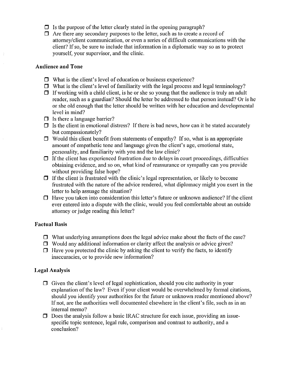- $\Box$  Is the purpose of the letter clearly stated in the opening paragraph?
- $\Box$  Are there any secondary purposes to the letter, such as to create a record of attorney/client communication, or even a scries of difficult communications with the client? If so, be sure to include that information in a diplomatic way so as to protect yourself, your supervisor, and the clinic.

#### Audience and Tone

- $\Box$  What is the client's level of education or business experience?
- $\Box$  What is the client's level of familiarity with the legal process and legal terminology?
- $\Box$  If working with a child client, is he or she so young that the audience is truly an adult reader, such as a guardian? Should the letter be addressed to that person instead? Or is he or she old enough that the letter should be written with her education and developmental level in mind?
- $\Box$  Is there a language barrier?
- $\Box$  Is the client in emotional distress? If there is bad news, how can it be stated accurately but compassionately?
- $\Box$  Would this client benefit from statements of empathy? If so, what is an appropriate amount of empathetic tone and language given the client's age, emotional state, personality, and familiarity with you and the law clinic?
- $\Box$  If the client has experienced frustration due to delays in court proceedings, difficulties obtaining evidence, and so on, what kind of reassurance or sympathy can you provide without providing false hope?
- $\Box$  If the client is frustrated with the clinic's legal representation, or likely to become frustrated with the nature of the advice rendered, what diplomacy might you exert in the letter to help assuage the situation?
- $\Box$  Have you taken into consideration this letter's future or unknown audience? If the client ever entered into a dispute with the clinic, would you feel comfortable about an outside attorney or judge reading this letter?

#### Factual Basis

- $\Box$  What underlying assumptions does the legal advice make about the facts of the case?
- $\Box$  Would any additional information or clarity affect the analysis or advice given?
- $\Box$  Have you protected the clinic by asking the client to verify the facts, to identify inaccuracies, or to provide new information?

#### Legal Analysis

- $\Box$  Given the client's level of legal sophistication, should you cite authority in your explanation of the law? Even if your client would be overwhelmed by formal citations, should you identify your authorities for the future or unknown reader mentioned above? If not, are the authorities well documented elsewhere in the client's file, such as in an internal memo?
- $\Box$  Does the analysis follow a basic IRAC structure for each issue, providing an issuespecific topic sentence, legal rule, comparison and contrast to authority, and a conclusion?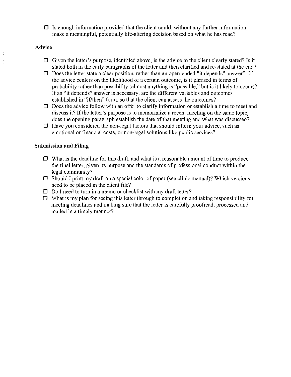$\Box$  Is enough information provided that the client could, without any further information, make a meaningful, potentially life-altering decision based on what he has read?

#### Advice

- $\Box$  Given the letter's purpose, identified above, is the advice to the client clearly stated? Is it stated both in the early paragraphs of the letter and then clarified and re-stated at the end?
- $\Box$  Does the letter state a clear position, rather than an open-ended "it depends" answer? If the advice centers on the likelihood of a certain outcome, is it phrased in terms of probability rather than possibility (almost anything is "possible," but is it likely to occur)? If an "it depends" answer is necessary, are the different variables and outcomes established in "if/then" form, so that the client can assess the outcomes?
- $\Box$  Does the advice follow with an offer to clarify information or establish a time to meet and discuss it? If the letter's purpose is to memorialize a recent meeting on the same topic, does the opening paragraph establish the date of that meeting and what was discussed?
- $\Box$  Have you considered the non-legal factors that should inform your advice, such as emotional or financial costs, or non-legal solutions like public services?

#### Submission **and Filing**

- $\Box$  What is the deadline for this draft, and what is a reasonable amount of time to produce the final letter, given its purpose and the standards of professional conduct within the legal community?
- $\Box$  Should I print my draft on a special color of paper (see clinic manual)? Which versions need to be placed in the client file?
- $\Box$  Do I need to turn in a memo or checklist with my draft letter?
- $\Box$  What is my plan for seeing this letter through to completion and taking responsibility for meeting deadlines and making sure that the letter is carefully proofread, processed and mailed in a timely manner?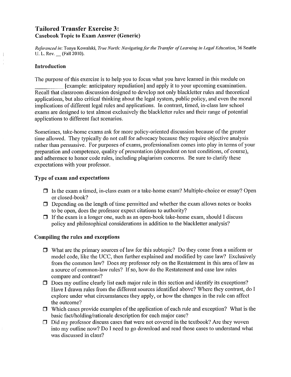## Tailored Transfer Exercise 3: Casebook Topic to Exam Answer (Generic)

*Referenced in:* Tonya Kowalski, *True North: Nm'igatingfor the Transfer ofLearning in Legal Education,* 36 Seattle U. L. Rev. \_ (Fall 2010).

#### **Introduction**

The purpose of this exercise is to help you to focus what you have learned in this module on

[example: anticipatory repudiation] and apply it to your upcoming examination. Recall that classroom discussion designed to develop not only blackletter rules and theoretical applications, but also critical thinking about the legal system, public policy, and even the moral implications of different legal rules and applications. In contrast, timed, in-class law school exams are designed to test almost exclusively the blackletter rules and their range of potential applications to different fact scenarios.

Sometimes, take-home exams ask for more policy-oriented discussion because of the greater time allowed. They typically do not call for advocacy because they require objective analysis rather than persuasive. For purposes of exams, professionalism comes into play in terms of your preparation and competence, quality of presentation (dependent on test conditions, of course), and adherence to honor code rules, including plagiarism concerns. Be sure to clarify these expectations with your professor.

#### Type of exam and expectations

- $\Box$  Is the exam a timed, in-class exam or a take-home exam? Multiple-choice or essay? Open or closed-book?
- $\Box$  Depending on the length of time permitted and whether the exam allows notes or books to be open, does the professor expect citations to authority?
- $\Box$  If the exam is a longer one, such as an open-book take-home exam, should I discuss policy and philosophical considerations in addition to the blackletter analysis?

#### Compiling the rules and exceptions

- $\Box$  What are the primary sources of law for this subtopic? Do they come from a uniform or model code, like the *UCC*, then further explained and modified by case law? Exclusively from the common law? Does my professor rely on the Restatement in this area of law as a source of common-law rules? Ifso, how do the Restatement and case law rules compare and contrast?
- $\Box$  Does my outline clearly list each major rule in this section and identify its exceptions? Have I drawn rules from the different sources identified above? Where they contrast, do I explore under what circumstances they apply, or how the changes in the rule can affect the outcome?
- $\Box$  Which cases provide examples of the application of each rule and exception? What is the basic fact/holding/rationale description for each major case?
- $\Box$  Did my professor discuss cases that were not covered in the textbook? Are they woven into my outline now? Do I need to go download and read those cases to understand what was discussed in class?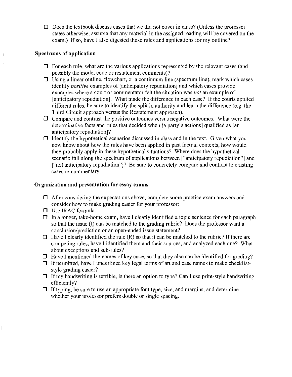$\Box$  Does the textbook discuss cases that we did not cover in class? (Unless the professor states otherwise, assume that any material in the assigned reading will be covered on the exam.) If so, have I also digested those rules and applications for my outline?

#### **Spectrums of application**

- $\Box$  For each rule, what are the various applications represented by the relevant cases (and possibly the model code or restatement comments)?
- $\Box$  Using a linear outline, flowchart, or a continuum line (spectrum line), mark which cases identify *positive* examples of [anticipatory repudiation] and which cases provide examples where a court or commentator felt the situation was *not* an example of [anticipatory repudiation]. What made the difference in each case? If the courts applied different rules, be sure to identify the split in authority and learn the difference (e.g. the Third Circuit approach versus the Restatement approach).
- $\Box$  Compare and contrast the positive outcomes versus negative outcomes. What were the determinative facts and rules that decided when [a party's actions] qualified as [an anticipatory repudiation]?
- $\Box$  Identify the hypothetical scenarios discussed in class and in the text. Given what you now know about how the rules have been applied in past factual contexts, how would they probably apply in these hypothetical situations? Where does the hypothetical scenario fall along the spectrum of applications between ["anticipatory repudiation"] and ["not anticipatory repudiation"]? Be sure to concretely compare and contrast to existing cases or commentary.

#### **Organization and presentation for** essay **exams**

- $\Box$  After considering the expectations above, complete some practice exam answers and consider how to make grading easier for your professor:
- $\Box$  Use IRAC formula.
- $\Box$  In a longer, take-home exam, have I clearly identified a topic sentence for each paragraph so that the issue (I) can be matched to the grading rubric? Does the professor want a conclusion/prediction or an open-ended issue statement?
- $\Box$  Have I clearly identified the rule (R) so that it can be matched to the rubric? If there are competing rules, have I identified them and their sources, and analyzed each one? What about exceptions and sub-rules?
- $\Box$  Have I mentioned the names of key cases so that they also can be identified for grading?
- $\Box$  If permitted, have I underlined key legal terms of art and case names to make checkliststyle grading easier?
- $\Box$  If my handwriting is terrible, is there an option to type? Can I use print-style handwriting efficiently?
- $\Box$  If typing, be sure to use an appropriate font type, size, and margins, and determine whether your professor prefers double or single spacing.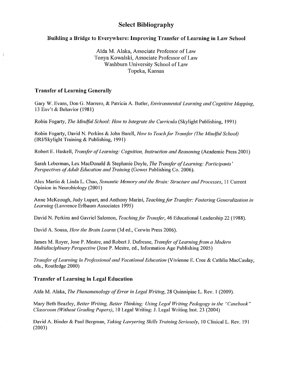## **Select Bibliography**

#### **Building a Bridgc to Everywhere: Improving Transfcr of Lcarning in Law School**

**Aida** M. AIaka, Associate Professor of Law Tonya Kowalski, Associate Professor of Law Washburn University School of Law Topeka, Kansas

#### **Transfcr of Lcarning Gcncrally**

Gary W. Evans, Don G. Marrero, & Patricia A. Butler, *Environmenlal Learning and Cognilive A1apping,* 13 Env't & Behavior (1981)

Robin Fogmty, *The Mind/ul School: How 10 lnlegrale Ihe Curricula* (Skylight Publishing, 1991)

Robin Fogarty, David N. Perkins & John Barell, *How to Teach for Transfer (The Mindful School)* (lRI/Skylight Training & Publishing, 1991)

Robert E. Haskell, *Tramfer 0/Leaming: Cognilion, Inslruclion and Reasoning* (Academic Press 2001)

Sarah Leberman, Lex MacDonald & Stephanie Doyle, *The Trans/er 0/Leaming: Parlicipanls' Perspeclives 0/Adull Educalion and Training* (Gowcr Publishing Co. 2006).

Alex Mm1in & Linda L. Chao, *Semanlic A1emOlJ' and Ihe Brain: Siruciure and Processes,* 11 Current Opinion in Neurobiology (2001)

Anne McKeough, Judy Lupart, and Anthony Marini, *Teaching/or I)'ans/er: Foslering Generalizalion in Leaming* (Lawrence Erlbaum Associates 1995)

David N. Perkins and Gavriel Salomon, *Teaching/or Trans/er,* 46 Educational Leadership 22 (1988).

David A. Sousa, *How Ihe Brain Leams* (3d ed., Corwin Press 2006).

James M. Royer, Jose P. Mestre, and Robert J. Dufresne, *Transfer of Learning from a Modern Multidisciplinary Perspective* (Jose P. Mestre, ed., Information Age Publishing 2005)

*Trans/er 0/Leaming in Professional and Vocalional Educalion* (Vivienne E. Cree & Cathlin MacCaulay, eds., Routledge 2000)

#### **Transfer of Learning in Legal Education**

Aida M. Alaka, *The Phenomenology of Error in Legal Writing*, 28 Quinnipiac L. Rev. 1 (2009).

Mal)' Beth Beazley, *Beller Wriling, Beller Thinking: Using Legal Wri/ing Pedagogy in Ihe "Casebook" Classroom (Wilhoul Grading Papers),* J0 Legal Writing: J. Legal Writing Inst. 23 (2004)

David A. Binder & Paul Bergman, *Taking Lawyering Skills Training Seriously*, 10 Clinical L. Rev. 191 (2003)